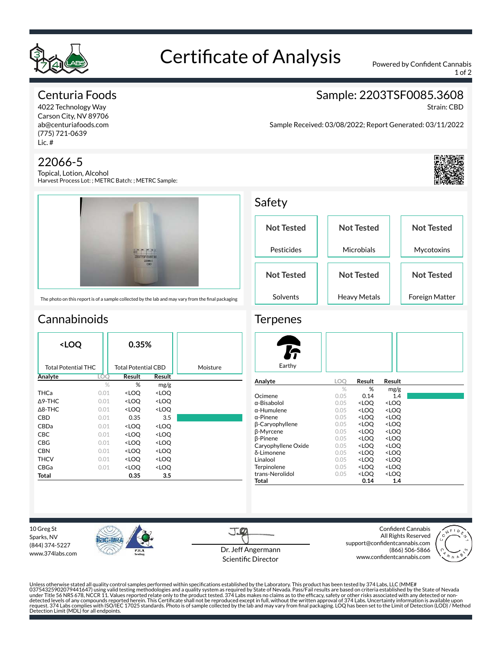

## Certificate of Analysis Powered by Confident Cannabis

1 of 2

## Centuria Foods

4022 Technology Way Carson City, NV 89706 ab@centuriafoods.com (775) 721-0639 Lic. #

### 22066-5

Topical, Lotion, Alcohol Harvest Process Lot: ; METRC Batch: ; METRC Sample:



The photo on this report is of a sample collected by the lab and may vary from the final packaging

## **Cannabinoids**

| <loq< th=""><th>0.35%</th><th></th><th></th></loq<> |      | 0.35%                                                    |                              |          |
|-----------------------------------------------------|------|----------------------------------------------------------|------------------------------|----------|
| <b>Total Potential THC</b>                          |      | Total Potential CBD                                      |                              | Moisture |
| Analyte                                             | LOO  | Result                                                   | Result                       |          |
|                                                     | $\%$ | %                                                        | mg/g                         |          |
| <b>THCa</b>                                         | 0.01 | <loq< th=""><th><loo< th=""><th></th></loo<></th></loq<> | <loo< th=""><th></th></loo<> |          |
| $\Delta$ 9-THC                                      | 0.01 | <loq< th=""><th><loq< th=""><th></th></loq<></th></loq<> | <loq< th=""><th></th></loq<> |          |
| $\triangle$ 8-THC                                   | 0.01 | <loq< th=""><th><loq< th=""><th></th></loq<></th></loq<> | <loq< th=""><th></th></loq<> |          |
| CBD                                                 | 0.01 | 0.35                                                     | 3.5                          |          |
| CBDa                                                | 0.01 | <loq< th=""><th><loq< th=""><th></th></loq<></th></loq<> | <loq< th=""><th></th></loq<> |          |
| CBC                                                 | 0.01 | <loo< th=""><th><loq< th=""><th></th></loq<></th></loo<> | <loq< th=""><th></th></loq<> |          |
| CBG                                                 | 0.01 | <loq< th=""><th><loq< th=""><th></th></loq<></th></loq<> | <loq< th=""><th></th></loq<> |          |
| <b>CBN</b>                                          | 0.01 | <loq< th=""><th><loq< th=""><th></th></loq<></th></loq<> | <loq< th=""><th></th></loq<> |          |
| THCV                                                | 0.01 | <loq< th=""><th><loq< th=""><th></th></loq<></th></loq<> | <loq< th=""><th></th></loq<> |          |
| CBGa                                                | 0.01 | <loq< th=""><th><loq< th=""><th></th></loq<></th></loq<> | <loq< th=""><th></th></loq<> |          |
| Total                                               |      | 0.35                                                     | 3.5                          |          |

**Not Tested** Pesticides **Not Tested Microbials Not Tested** Mycotoxins **Not Tested** Solvents **Not Tested** Heavy Metals **Not Tested** Foreign Matter

#### **Terpenes**

Safety

| Earthy                 |      |                                                 |                     |
|------------------------|------|-------------------------------------------------|---------------------|
| Analyte                | LOO  | Result                                          | Result              |
|                        | $\%$ | ℅                                               | mg/g                |
| Ocimene                | 0.05 | 0.14                                            | 1.4                 |
| α-Bisabolol            | 0.05 | <loo< td=""><td><loq< td=""></loq<></td></loo<> | <loq< td=""></loq<> |
| α-Humulene             | 0.05 | <loq< td=""><td><loq< td=""></loq<></td></loq<> | <loq< td=""></loq<> |
| $\alpha$ -Pinene       | 0.05 | <loo< td=""><td><loo< td=""></loo<></td></loo<> | <loo< td=""></loo<> |
| <b>B-Caryophyllene</b> | 0.05 | <loq< td=""><td><loq< td=""></loq<></td></loq<> | <loq< td=""></loq<> |
| <b>B-Myrcene</b>       | 0.05 | <loo< td=""><td><loo< td=""></loo<></td></loo<> | <loo< td=""></loo<> |
| <b>B-Pinene</b>        | 0.05 | <loq< td=""><td><loq< td=""></loq<></td></loq<> | <loq< td=""></loq<> |
| Caryophyllene Oxide    | 0.05 | <loo< td=""><td><loo< td=""></loo<></td></loo<> | <loo< td=""></loo<> |
| δ-Limonene             | 0.05 | <loo< th=""><th><loq< th=""></loq<></th></loo<> | <loq< th=""></loq<> |
| Linalool               | 0.05 | <loo< th=""><th><loq< th=""></loq<></th></loo<> | <loq< th=""></loq<> |
| Terpinolene            | 0.05 | <loo< th=""><th><loq< th=""></loq<></th></loo<> | <loq< th=""></loq<> |
| trans-Nerolidol        | 0.05 | <loo< th=""><th><loq< th=""></loq<></th></loo<> | <loq< th=""></loq<> |
| Total                  |      | 0.14                                            | 1.4                 |

10 Greg St Sparks, NV (844) 374-5227 www.374labs.com



J.CO Dr. Jeff Angermann Scientific Director

Confident Cannabis All Rights Reserved support@confidentcannabis.com (866) 506-5866 www.confidentcannabis.com



Unless otherwise stated all quality control samples performed within specifications established by the Laboratory. This product has been tested by 374 Labs, LLC (MME# 03754325902079441647) using valid testing methodologies and a quality system as required by State of Nevada. Pass/Fail results are based on criteria established by the State of Nevada<br>under Title 56 NRS 678, NCCR 11. Value



Sample Received: 03/08/2022; Report Generated: 03/11/2022